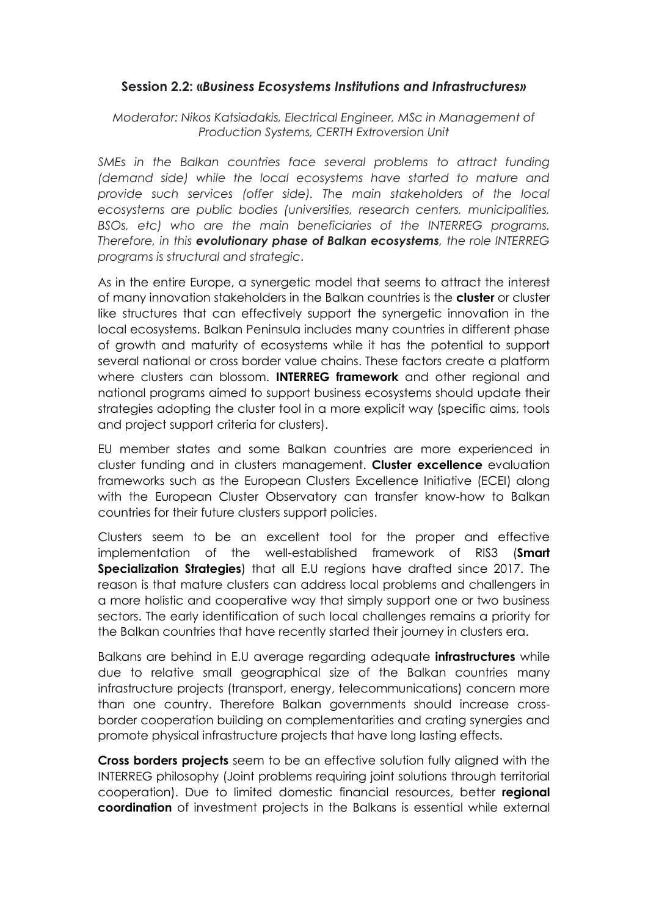## **Session 2.2: «***Business Ecosystems Institutions and Infrastructures»*

*Moderator: Nikos Katsiadakis, Electrical Engineer, MSc in Management of Production Systems, CERTH Extroversion Unit*

*SMEs in the Balkan countries face several problems to attract funding (demand side) while the local ecosystems have started to mature and provide such services (offer side). The main stakeholders of the local ecosystems are public bodies (universities, research centers, municipalities, BSOs, etc) who are the main beneficiaries of the INTERREG programs. Therefore, in this evolutionary phase of Balkan ecosystems, the role INTERREG programs is structural and strategic*.

As in the entire Europe, a synergetic model that seems to attract the interest of many innovation stakeholders in the Balkan countries is the **cluster** or cluster like structures that can effectively support the synergetic innovation in the local ecosystems. Balkan Peninsula includes many countries in different phase of growth and maturity of ecosystems while it has the potential to support several national or cross border value chains. These factors create a platform where clusters can blossom. **INTERREG framework** and other regional and national programs aimed to support business ecosystems should update their strategies adopting the cluster tool in a more explicit way (specific aims, tools and project support criteria for clusters).

EU member states and some Balkan countries are more experienced in cluster funding and in clusters management. **Cluster excellence** evaluation frameworks such as the European Clusters Excellence Initiative (ECEI) along with the European Cluster Observatory can transfer know-how to Balkan countries for their future clusters support policies.

Clusters seem to be an excellent tool for the proper and effective implementation of the well-established framework of RIS3 (**Smart Specialization Strategies**) that all E.U regions have drafted since 2017. The reason is that mature clusters can address local problems and challengers in a more holistic and cooperative way that simply support one or two business sectors. The early identification of such local challenges remains a priority for the Balkan countries that have recently started their journey in clusters era.

Balkans are behind in E.U average regarding adequate **infrastructures** while due to relative small geographical size of the Balkan countries many infrastructure projects (transport, energy, telecommunications) concern more than one country. Therefore Balkan governments should increase crossborder cooperation building on complementarities and crating synergies and promote physical infrastructure projects that have long lasting effects.

**Cross borders projects** seem to be an effective solution fully aligned with the INTERREG philosophy (Joint problems requiring joint solutions through territorial cooperation). Due to limited domestic financial resources, better **regional coordination** of investment projects in the Balkans is essential while external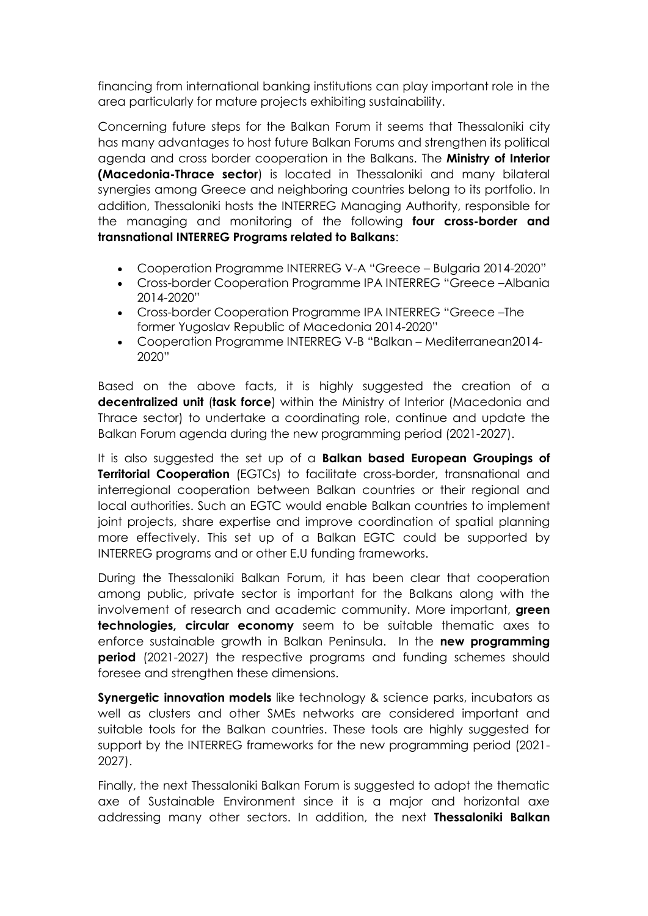financing from international banking institutions can play important role in the area particularly for mature projects exhibiting sustainability.

Concerning future steps for the Balkan Forum it seems that Thessaloniki city has many advantages to host future Balkan Forums and strengthen its political agenda and cross border cooperation in the Balkans. The **Ministry of Interior (Macedonia-Thrace sector**) is located in Thessaloniki and many bilateral synergies among Greece and neighboring countries belong to its portfolio. In addition, Thessaloniki hosts the INTERREG Managing Authority, responsible for the managing and monitoring of the following **four cross-border and transnational INTERREG Programs related to Balkans**:

- Cooperation Programme INTERREG V-A "Greece Bulgaria 2014-2020"
- Cross-border Cooperation Programme IPA INTERREG "Greece –Albania 2014-2020"
- Cross-border Cooperation Programme IPA INTERREG "Greece –The former Yugoslav Republic of Macedonia 2014-2020"
- Cooperation Programme INTERREG V-B "Balkan Mediterranean2014- 2020"

Based on the above facts, it is highly suggested the creation of a **decentralized unit** (**task force**) within the Ministry of Interior (Macedonia and Thrace sector) to undertake a coordinating role, continue and update the Balkan Forum agenda during the new programming period (2021-2027).

It is also suggested the set up of a **Balkan based European Groupings of Territorial Cooperation** (EGTCs) to facilitate cross-border, transnational and interregional cooperation between Balkan countries or their regional and local authorities. Such an EGTC would enable Balkan countries to implement joint projects, share expertise and improve coordination of spatial planning more effectively. This set up of a Balkan EGTC could be supported by INTERREG programs and or other E.U funding frameworks.

During the Thessaloniki Balkan Forum, it has been clear that cooperation among public, private sector is important for the Balkans along with the involvement of research and academic community. More important, **green technologies, circular economy** seem to be suitable thematic axes to enforce sustainable growth in Balkan Peninsula. In the **new programming period** (2021-2027) the respective programs and funding schemes should foresee and strengthen these dimensions.

**Synergetic innovation models** like technology & science parks, incubators as well as clusters and other SMEs networks are considered important and suitable tools for the Balkan countries. These tools are highly suggested for support by the INTERREG frameworks for the new programming period (2021- 2027).

Finally, the next Thessaloniki Balkan Forum is suggested to adopt the thematic axe of Sustainable Environment since it is a major and horizontal axe addressing many other sectors. In addition, the next **Thessaloniki Balkan**